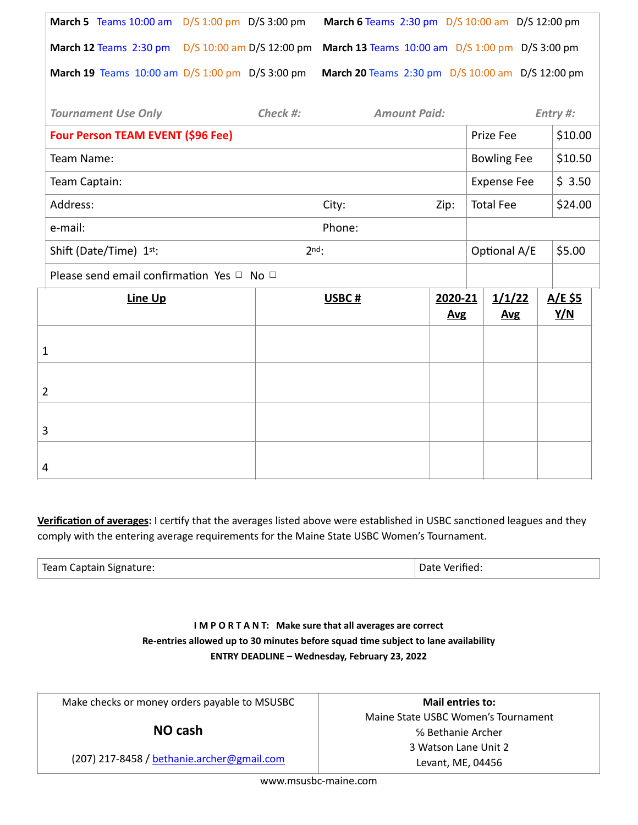| March 5 Teams 10:00 am D/S 1:00 pm D/S 3:00 pm      |         |          | March 6 Teams 2:30 pm D/S 10:00 am D/S 12:00 pm  |                       |                                                 |                      |                              |  |  |  |
|-----------------------------------------------------|---------|----------|--------------------------------------------------|-----------------------|-------------------------------------------------|----------------------|------------------------------|--|--|--|
| March 12 Teams 2:30 pm D/S 10:00 am D/S 12:00 pm    |         |          |                                                  |                       | March 13 Teams 10:00 am D/S 1:00 pm D/S 3:00 pm |                      |                              |  |  |  |
| March 19 Teams 10:00 am D/S 1:00 pm D/S 3:00 pm     |         |          | March 20 Teams 2:30 pm D/S 10:00 am D/S 12:00 pm |                       |                                                 |                      |                              |  |  |  |
| <b>Tournament Use Only</b>                          |         | Check #: | <b>Amount Paid:</b>                              |                       |                                                 |                      | Entry #:                     |  |  |  |
| Four Person TEAM EVENT (\$96 Fee)                   |         |          |                                                  |                       |                                                 | Prize Fee            | \$10.00                      |  |  |  |
| Team Name:                                          |         |          |                                                  |                       |                                                 | <b>Bowling Fee</b>   | \$10.50                      |  |  |  |
| Team Captain:                                       |         |          |                                                  |                       |                                                 | <b>Expense Fee</b>   | \$3.50                       |  |  |  |
| Address:                                            |         |          | City:                                            | Zip:                  |                                                 | <b>Total Fee</b>     | \$24.00                      |  |  |  |
| e-mail:                                             |         |          | Phone:                                           |                       |                                                 |                      |                              |  |  |  |
| Shift (Date/Time) 1st:                              | $2nd$ : |          |                                                  |                       |                                                 |                      | \$5.00                       |  |  |  |
| Please send email confirmation Yes $\Box$ No $\Box$ |         |          |                                                  |                       |                                                 |                      |                              |  |  |  |
| Line Up                                             |         |          | USBC#                                            | 2020-21<br><b>Avg</b> |                                                 | 1/1/22<br><b>Avg</b> | <u>A/E \$5</u><br><u>Y/N</u> |  |  |  |
| $\mathbf{1}$                                        |         |          |                                                  |                       |                                                 |                      |                              |  |  |  |
| $\overline{2}$                                      |         |          |                                                  |                       |                                                 |                      |                              |  |  |  |
| 3                                                   |         |          |                                                  |                       |                                                 |                      |                              |  |  |  |
| 4                                                   |         |          |                                                  |                       |                                                 |                      |                              |  |  |  |

Verification of averages: I certify that the averages listed above were established in USBC sanctioned leagues and they comply with the entering average requirements for the Maine State USBC Women's Tournament.

| Team Captain Signature: | Date Verified: |
|-------------------------|----------------|
|                         |                |

## **I M P O R T A N T: Make sure that all averages are correct**  Re-entries allowed up to 30 minutes before squad time subject to lane availability **ENTRY DEADLINE – Wednesday, February 23, 2022**

Make checks or money orders payable to MSUSBC

**NO cash** 

(207) 217-8458 / [bethanie.archer@gmail.com](mailto:bethanie.archer@gmail.com)

**Mail entries to:**  Maine State USBC Women's Tournament ℅ Bethanie Archer 3 Watson Lane Unit 2 Levant, ME, 04456

www.msusbc-maine.com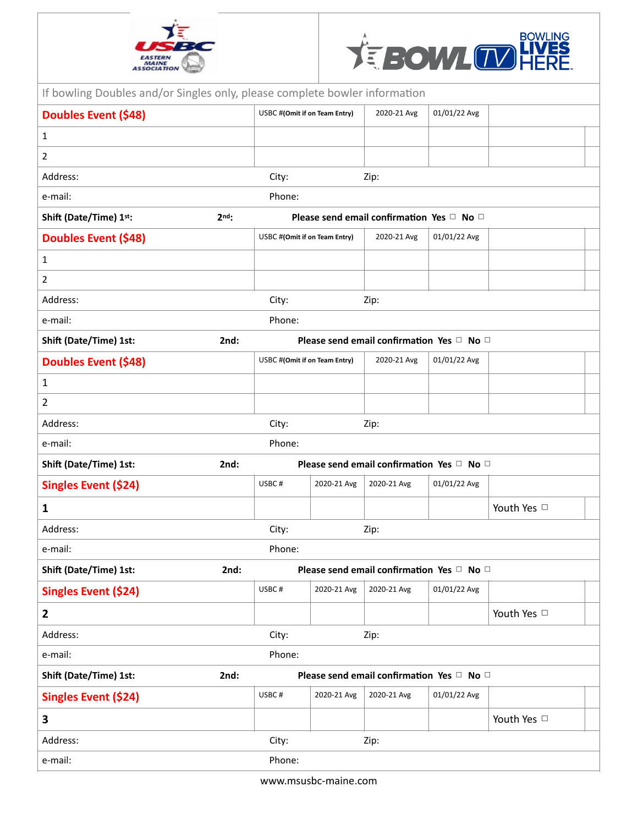



| If bowling Doubles and/or Singles only, please complete bowler information |                 |                                           |             |                                           |              |             |  |  |  |
|----------------------------------------------------------------------------|-----------------|-------------------------------------------|-------------|-------------------------------------------|--------------|-------------|--|--|--|
| <b>Doubles Event (\$48)</b>                                                |                 | USBC #(Omit if on Team Entry)             |             | 2020-21 Avg                               | 01/01/22 Avg |             |  |  |  |
| $\mathbf{1}$                                                               |                 |                                           |             |                                           |              |             |  |  |  |
| $\overline{2}$                                                             |                 |                                           |             |                                           |              |             |  |  |  |
| Address:                                                                   |                 | City:                                     |             | Zip:                                      |              |             |  |  |  |
| e-mail:                                                                    |                 | Phone:                                    |             |                                           |              |             |  |  |  |
| Shift (Date/Time) 1st:                                                     | 2 <sub>nd</sub> | Please send email confirmation Yes □ No □ |             |                                           |              |             |  |  |  |
| Doubles Event (\$48)                                                       |                 | USBC #(Omit if on Team Entry)             |             | 2020-21 Avg                               | 01/01/22 Avg |             |  |  |  |
| $\mathbf{1}$                                                               |                 |                                           |             |                                           |              |             |  |  |  |
| $\overline{2}$                                                             |                 |                                           |             |                                           |              |             |  |  |  |
| Address:                                                                   |                 | City:                                     |             | Zip:                                      |              |             |  |  |  |
| e-mail:                                                                    |                 | Phone:                                    |             |                                           |              |             |  |  |  |
| Shift (Date/Time) 1st:                                                     | 2nd:            |                                           |             | Please send email confirmation Yes □ No □ |              |             |  |  |  |
| <b>Doubles Event (\$48)</b>                                                |                 | USBC #(Omit if on Team Entry)             |             | 2020-21 Avg                               | 01/01/22 Avg |             |  |  |  |
| $\mathbf{1}$                                                               |                 |                                           |             |                                           |              |             |  |  |  |
| 2                                                                          |                 |                                           |             |                                           |              |             |  |  |  |
| Address:                                                                   |                 | City:                                     |             | Zip:                                      |              |             |  |  |  |
| e-mail:                                                                    |                 | Phone:                                    |             |                                           |              |             |  |  |  |
| Shift (Date/Time) 1st:                                                     | 2nd:            | Please send email confirmation Yes □ No □ |             |                                           |              |             |  |  |  |
| Singles Event (\$24)                                                       |                 | USBC#                                     | 2020-21 Avg | 2020-21 Avg                               | 01/01/22 Avg |             |  |  |  |
| $\mathbf{1}$                                                               |                 |                                           |             |                                           |              | Youth Yes □ |  |  |  |
| Address:                                                                   |                 | City:                                     |             | Zip:                                      |              |             |  |  |  |
| e-mail:                                                                    |                 | Phone:                                    |             |                                           |              |             |  |  |  |
| Shift (Date/Time) 1st:                                                     | 2nd:            | Please send email confirmation Yes □ No □ |             |                                           |              |             |  |  |  |
| Singles Event (\$24)                                                       |                 | USBC#                                     | 2020-21 Avg | 2020-21 Avg                               | 01/01/22 Avg |             |  |  |  |
| $\overline{2}$                                                             |                 |                                           |             |                                           |              | Youth Yes   |  |  |  |
| Address:                                                                   |                 | City:                                     |             | Zip:                                      |              |             |  |  |  |
| e-mail:                                                                    |                 | Phone:                                    |             |                                           |              |             |  |  |  |
| Shift (Date/Time) 1st:                                                     | 2nd:            |                                           |             | Please send email confirmation Yes □ No □ |              |             |  |  |  |
| <b>Singles Event (\$24)</b>                                                |                 | USBC#                                     | 2020-21 Avg | 2020-21 Avg                               | 01/01/22 Avg |             |  |  |  |
| 3                                                                          |                 |                                           |             |                                           |              | Youth Yes □ |  |  |  |
| Address:                                                                   |                 | City:                                     |             | Zip:                                      |              |             |  |  |  |
| e-mail:                                                                    |                 | Phone:                                    |             |                                           |              |             |  |  |  |